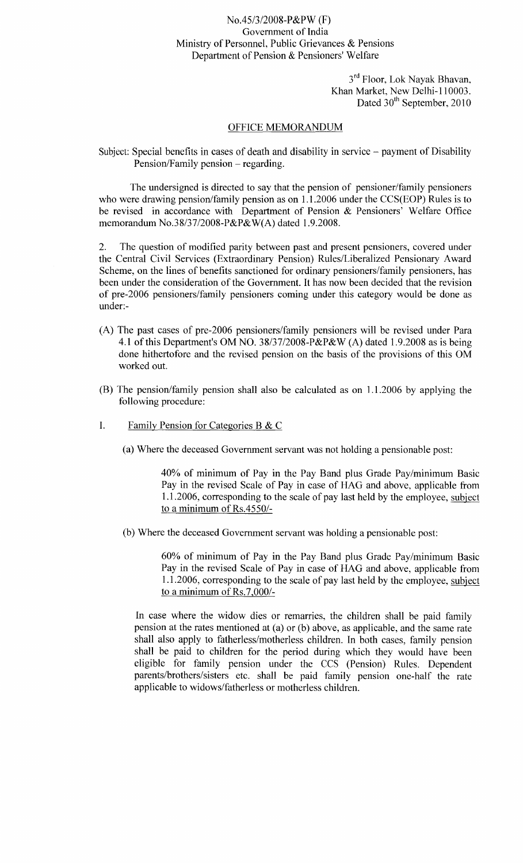## No.45/3/2008-P&PW (F) Government of India Ministry of Personnel, Public Grievances & Pensions Department of Pension & Pensioners' Welfare

3<sup>rd</sup> Floor, Lok Nayak Bhavan Khan Market, New Delhi-110003. Dated 30<sup>th</sup> September, 2010

## OFFICE MEMORANDUM

Subject: Special benefits in cases of death and disability in service - payment of Disability Pension/Family pension – regarding.

The undersigned is directed to say that the pension of pensioner/family pensioners who were drawing pension/family pension as on 1.1.2006 under the CCS(EOP) Rules is to be revised in accordance with Department of Pension & Pensioners' Welfare Office memorandum No.38/37/2008-P&P&W(A) dated 1.9.2008.

2. The question of modified parity between past and present pensioners, covered under the Central Civil Services (Extraordinary Pension) Rules/Liberalized Pensionary Award Scheme, on the lines of benefits sanctioned for ordinary pensioners/family pensioners, has been under the consideration of the Government. It has now been decided that the revision of pre-2006 pensioners/family pensioners coming under this category would be done as under:-

- (A) The past cases of pre-2006 pensioners/family pensioners will be revised under Para 4.1 of this Department's OM NO. 38/37/2008-P&P&W (A) dated 1.9.2008 as is being done hithertofore and the revised pension on the basis of the provisions of this OM worked out.
- (B) The pension/family pension shall also be calculated as on 1.1.2006 by applying the following procedure:
- I. Family Pension for Categories B  $&$  C
	- (a) Where the deceased Government servant was not holding a pensionable post:

40% of minimum of Pay in the Pay Band plus Grade Pay/minimum Basic Pay in the revised Scale of Pay in case of HAG and above, applicable from 1.1.2006, corresponding to the scale of pay last held by the employee, subject to a minimum of Rs.4550/-

(b) Where the deceased Government servant was holding a pensionable post:

60% of minimum of Pay in the Pay Band plus Grade Pay/minimum Basic Pay in the revised Scale of Pay in case of HAG and above, applicable from 1.1.2006, corresponding to the scale of pay last held by the employee, subject to a minimum of RS.7,000/-

In case where the widow dies or remarries, the children shall be paid family pension at the rates mentioned at (a) or (b) above, as applicable, and the same rate shall also apply to fatherless/motherless children. In both cases, family pension shall be paid to children for the period during which they would have been eligible for family pension under the CCS (Pension) Rules. Dependent parents/brothers/sisters etc. shall be paid family pension one-half the rate applicable to widows/fatherless or motherless children.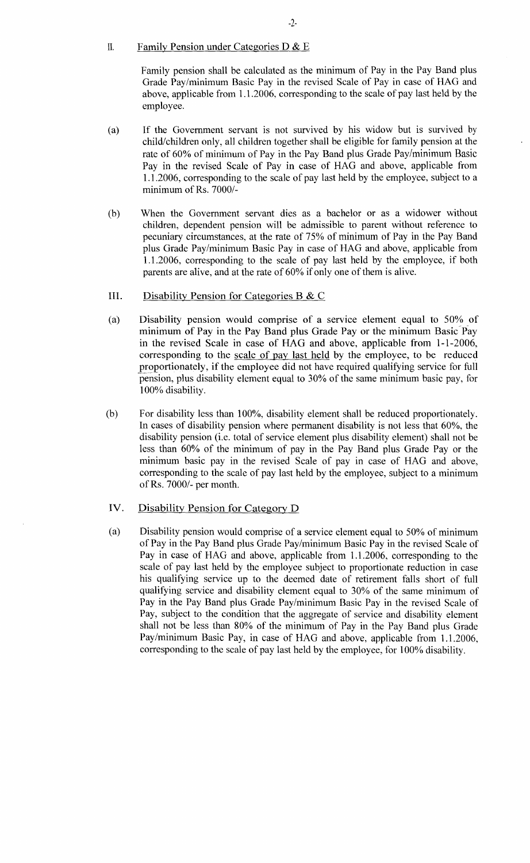## II. Family Pension under Categories D  $& E$

Family pension shall be calculated as the minimum of Pay in the Pay Band plus Grade Pay/minimum Basic Pay in the revised Scale of Pay in case of HAG and above, applicable from 1.1.2006, corresponding to the scale of pay last held by the employee.

- (a) If the Government servant is not survived by his widow but is survived by child/children only, all children together shall be eligible for family pension at the rate of 60% of minimum of Pay in the Pay Band plus Grade Pay/minimum Basic Pay in the revised Scale of Pay in case of HAG and above, applicable from 1.1.2006, corresponding to the scale of pay last held by the employee, subject to a minimum of Rs. 7000/-
- (b) When the Government servant dies as a bachelor or as a widower without children, dependent pension will be admissible to parent without reference to pecuniary circumstances, at the rate of 75% of minimum of Pay in the Pay Band plus Grade Pay/minimum Basic Pay in case of HAG and above, applicable from 1.1.2006, corresponding to the scale of pay last held by the employee, if both parents are alive, and at the rate of 60% if only one of them is alive.
- III. Disability Pension for Categories B & C
- (a) Disability pension would comprise of a service element equal to 50% of minimum of Pay in the Pay Band plus Grade Payor the minimum Basic"Pay in the revised Scale in case of HAG and above, applicable from 1-1-2006, corresponding to the scale of pay last held by the employee, to be reduced proportionately, if the employee did not have required qualifying service for full pension, plus disability element equal to 30% of the same minimum basic pay, for 100% disability.
- (b) For disability less than 100%, disability element shall be reduced proportionately. In cases of disability pension where permanent disability is not less that 60%, the disability pension (i.e. total of service element plus disability element) shall not be less than 60% of the minimum of pay in the Pay Band plus Grade Pay or the minimum basic pay in the revised Scale of pay in case of HAG and above, corresponding to the scale of pay last held by the employee, subject to a minimum ofRs. 7000/- per month.
- IV. Disability Pension for Category D
- (a) Disability pension would comprise of a service element equal to 50% of minimum of Pay in the Pay Band plus Grade Pay/minimum Basic Pay in the revised Scale of Pay in case of HAG and above, applicable from 1.1.2006, corresponding to the scale of pay last held by the employee subject to proportionate reduction in case his qualifying service up to the deemed date of retirement falls short of full qualifying service and disability element equal to 30% of the same minimum of Pay in the Pay Band plus Grade Pay/minimum Basic Pay in the revised Scale of Pay, subject to the condition that the aggregate of service and disability element shall not be less than 80% of the minimum of Pay in the Pay Band plus Grade Pay/minimum Basic Pay, in case of HAG and above, applicable from 1.1.2006, corresponding to the scale of pay last held by the employee, for 100% disability.